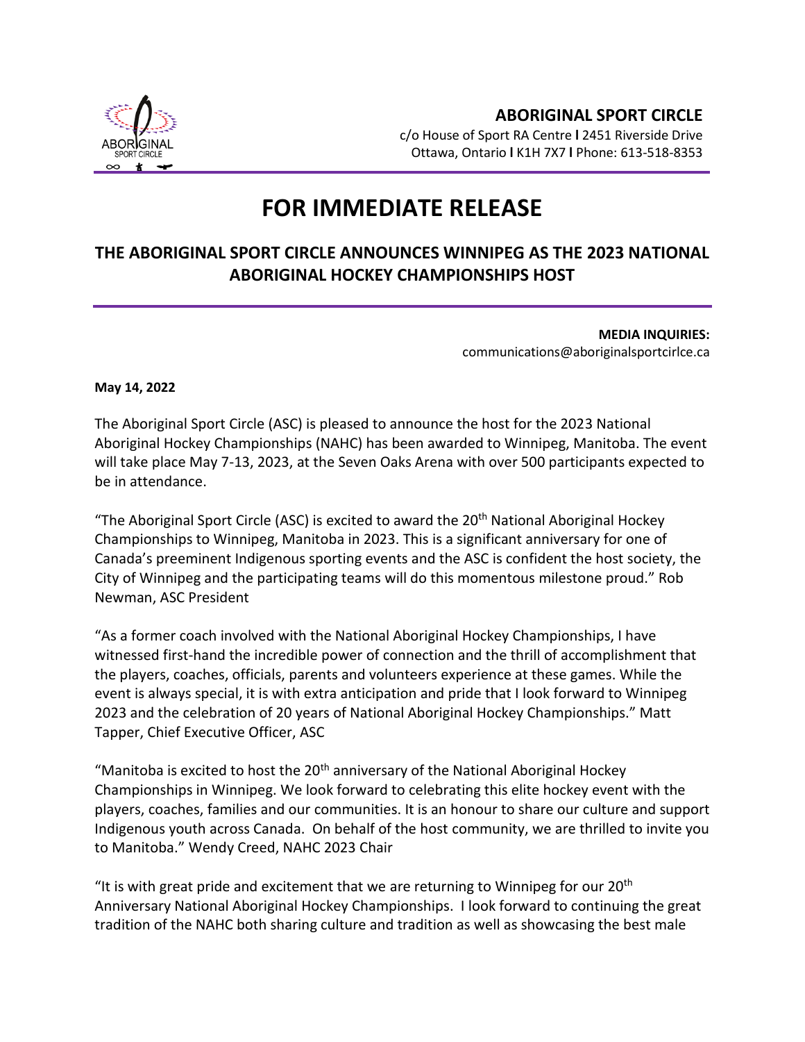

## **FOR IMMEDIATE RELEASE**

## **THE ABORIGINAL SPORT CIRCLE ANNOUNCES WINNIPEG AS THE 2023 NATIONAL ABORIGINAL HOCKEY CHAMPIONSHIPS HOST**

**MEDIA INQUIRIES:** communications@aboriginalsportcirlce.ca

**May 14, 2022**

The Aboriginal Sport Circle (ASC) is pleased to announce the host for the 2023 National Aboriginal Hockey Championships (NAHC) has been awarded to Winnipeg, Manitoba. The event will take place May 7-13, 2023, at the Seven Oaks Arena with over 500 participants expected to be in attendance.

"The Aboriginal Sport Circle (ASC) is excited to award the  $20<sup>th</sup>$  National Aboriginal Hockey Championships to Winnipeg, Manitoba in 2023. This is a significant anniversary for one of Canada's preeminent Indigenous sporting events and the ASC is confident the host society, the City of Winnipeg and the participating teams will do this momentous milestone proud." Rob Newman, ASC President

"As a former coach involved with the National Aboriginal Hockey Championships, I have witnessed first-hand the incredible power of connection and the thrill of accomplishment that the players, coaches, officials, parents and volunteers experience at these games. While the event is always special, it is with extra anticipation and pride that I look forward to Winnipeg 2023 and the celebration of 20 years of National Aboriginal Hockey Championships." Matt Tapper, Chief Executive Officer, ASC

"Manitoba is excited to host the  $20<sup>th</sup>$  anniversary of the National Aboriginal Hockey Championships in Winnipeg. We look forward to celebrating this elite hockey event with the players, coaches, families and our communities. It is an honour to share our culture and support Indigenous youth across Canada. On behalf of the host community, we are thrilled to invite you to Manitoba." Wendy Creed, NAHC 2023 Chair

"It is with great pride and excitement that we are returning to Winnipeg for our 20<sup>th</sup> Anniversary National Aboriginal Hockey Championships. I look forward to continuing the great tradition of the NAHC both sharing culture and tradition as well as showcasing the best male